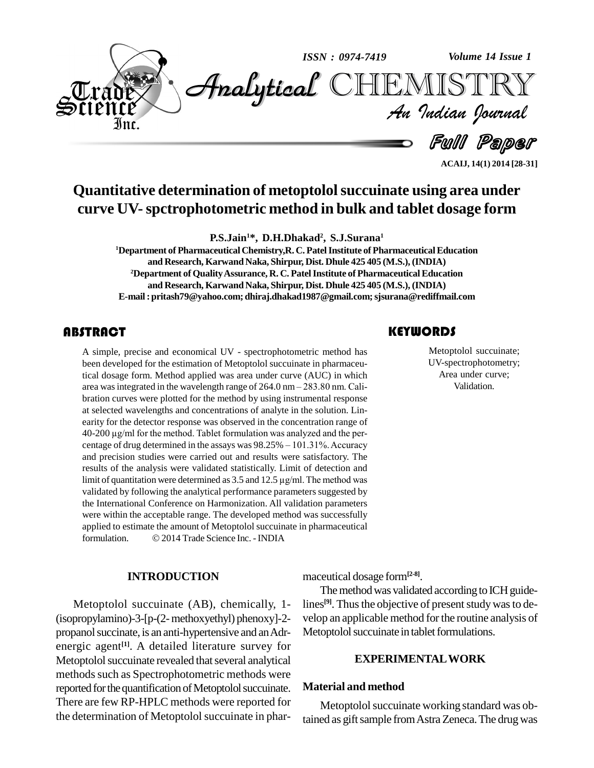

# **Quantitative determination of metoptololsuccuinate using area under curve UV-spctrophotometric method in bulk and tablet dosage form**

**P.S.Jain <sup>1</sup>\*, D.H.Dhakad 2 , S.J.Surana 1**

**<sup>1</sup>Department of PharmaceuticalChemistry,R. C. PatelInstitute of PharmaceuticalEducation and Research, KarwandNaka, Shirpur, Dist. Dhule 425 405 (M.S.), (INDIA) <sup>2</sup>Department of QualityAssurance, R. C. PatelInstitute of PharmaceuticalEducation and Research, KarwandNaka, Shirpur, Dist. Dhule 425 405 (M.S.), (INDIA) E-mail:[pritash79@yahoo.com;](mailto:pritash79@yahoo.com;) [dhiraj.dhakad1987@gmail.com;sjsurana](mailto:dhiraj.dhakad1987@gmail.com;)[@rediffmail.com](mailto:sjsurana@rediffmail.com)**

# **ABSTRACT**

A simple, precise and e<br>been developed for the e<br>tical dosage form. Methe A simple, precise and economical UV - spectrophotometric method has been developed for the estimation of Metoptolol succuinate in pharmaceutical dosage form. Method applied was area under curve (AUC) in which been developed for the estimation of Metoptolol succuinate in pharmaceutical dosage form. Method applied was area under curve (AUC) in which area was integrated in the wavelength range of 264.0 nm – 283.80 nm. Calibration curves were plotted for the method by using instrumental response at selected wavelengths and concentrations of analyte in the solution. Lin earity for the detector response was observed in the concentration range of at selected wavelengths and concentrations of analyte in the solution. Linearity for the detector response was observed in the concentration range of 40-200 µg/ml for the method. Tablet formulation was analyzed and the per  $40-200 \mu g/ml$  for the method. Tablet formulation was analyzed and the percentage of drug determined in the assays was  $98.25\% - 101.31\%$ . Accuracy and precision studies were carried outand results were satisfactory. The results of the analysis were validated statistically. Limit of detection and limit of quantitation were determined as  $3.5$  and  $12.5 \mu$ g/ml. The method was validated by following the analytical performance parameters suggested by the International Conference on Harmonization. All validation parameters were within the acceptable range. The developed method was successfully<br>applied to estimate the amount of Metoptolol succuinate in pharmaceutical<br>formulation. © 2014 Trade Science Inc. - INDIA applied to estimate the amount of Metoptolol succuinate in pharmaceutical

#### **INTRODUCTION**

Metoptolol succuinate (AB), chemically, 1- (isopropylamino)-3-[p-(2-methoxyethyl) phenoxy]-2 propanol succinate, is an anti-hypertensive and an Adrenergic agent **[1]**. A detailed literature survey for Metoptolol succuinate revealed that several analytical methods such as Spectrophotometric methods were reported for the quantification of Metoptolol succuinate. There are few RP-HPLC methods were reported for the determination of Metoptolol succuinate in phar-

Metoptolol succu<br>UV-spectrophoton<br>Area under cur Metoptolol succuinate; UV-spectrophotometry; Area under curve; Validation.

**ACAIJ, 14(1) 2014 [28-31]**

maceutical dosage form**[2-8]**.

The method was validated according to ICH guidelines<sup>[9]</sup>. Thus the objective of present study was to develop an applicable method forthe routine analysis of Metoptolol succuinate in tablet formulations.

#### **EXPERIMENTALWORK**

#### **Material and method**

Metoptolol succuinate working standard was obtained as gift sample from Astra Zeneca. The drug was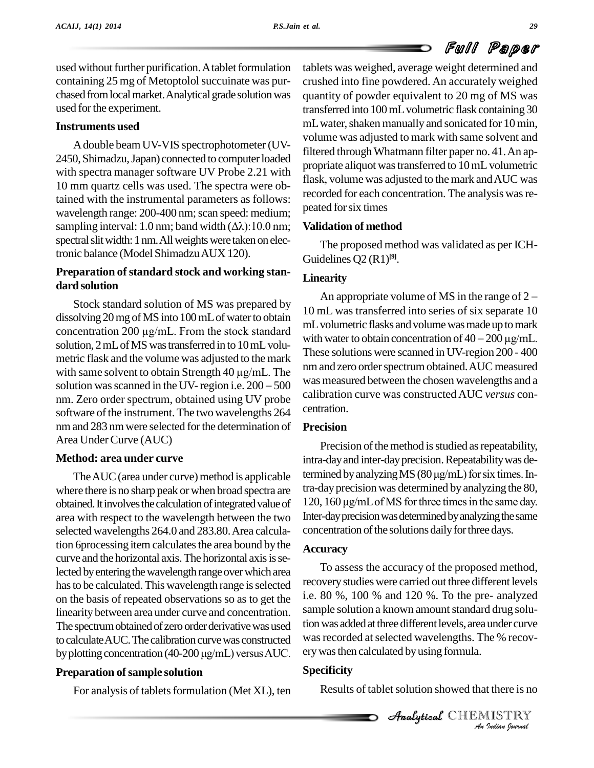# Full Paper

used without further purification. A tablet formulation containing 25 mg of Metoptolol succuinate was purchased from local market. Analytical grade solution was used forthe experiment.

## **Instruments used**

Adouble beamUV-VIS spectrophotometer (UV- 2450, Shimadzu, Japan) connected to computer loaded with spectra manager software UV Probe 2.21 with 10 mm quartz cells was used. The spectra were obtained with the instrumental parameters as follows: wavelength range: 200-400 nm; scan speed: medium; P tained with the instrumental parameters as follows:<br>wavelength range: 200-400 nm; scan speed: medium;<br>sampling interval: 1.0 nm; band width  $(\Delta \lambda)$ :10.0 nm; **Va** spectral slit width: 1 nm. All weights were taken on electronic balance (Model ShimadzuAUX 120).

# **Preparation of standard stock and working standard solution**

Stock standard solution of MS was prepared by dissolving 20 mg of MS into 100 mL of water to obtain  $\frac{10}{m}$   $\frac{10}{m}$ Stock standard solution of MS was prepared by<br>dissolving 20 mg of MS into 100 mL of water to obtain  $10 \text{ mL}$ <br>concentration 200 µg/mL. From the stock standard solution, 2 mL of MS was transferred in to 10 mL volu-<br> $\frac{\text{with water to obtain concentration of }40-200 \,\mu\text{g/mL}}{200-200 \,\mu\text{s}}$ metric flask and the volume was adjusted to the mark solution, 2 mL of MS was transferred in to  $10 \text{ mL}$  volumetric flask and the volume was adjusted to the mark with same solvent to obtain Strength  $40 \mu\text{g/mL}$ . The nm and metric flask and the volume was adjusted to the mark<br>with same solvent to obtain Strength 40  $\mu$ g/mL. The<br>solution was scanned in the UV-region i.e. 200 – 500 nm. Zero order spectrum, obtained using UV probe software of the instrument. The two wavelengths 264 nm and 283 nmwere selected forthe determination of Area UnderCurve (AUC)

# **Method: area under curve**

where there is no sharp peak or when broad spectra are obtained. It involves the calculation of integrated value of area with respect to the wavelength between the two selected wavelengths 264.0 and 283.80.Area calculation 6 processing item calculates the area bound by the curve and the horizontal axis. The horizontal axis is selected by entering the wavelength range over which area has to be calculated. This wavelength range is selected on the basis of repeated observations so as to get the linearity between area under curve and concentration. The spectrum obtained of zero order derivative was used tocalculateAUC.The calibrationcurvewas constructed The spectrum obtained of zero order derivative was used<br>to calculate AUC. The calibration curve was constructed with<br>by plotting concentration (40-200  $\mu g/mL$ ) versus AUC.

# **Preparation of sample solution**

For analysis of tablets formulation (Met XL), ten

tablets was weighed, average weight determined and crushed into fine powdered. An accurately weighed quantity of powder equivalent to 20 mg of MS was transferred into 100mLvolumetric flask containing 30 mL water, shaken manually and sonicated for 10 min, volume was adjusted to mark with same solvent and filtered throughWhatmann filter paper no. 41.An ap propriate aliquot was transferred to 10 mL volumetric flask, volume was adjusted to the mark andAUC was recorded for each concentration. The analysis was repeated forsix times

### **Validation of method**

The proposed method was validated as per ICH- Guidelines Q2 (R1) **[9]**.

### **Linearity**

An appropriate volume of MS in the range of <sup>2</sup> 10 mL was transferred into series of six separate 10 mL volumetric flasks and volume was made up to mark 10 mL was transferred into series of six separate 10<br>mL volumetric flasks and volume was made up to mark<br>with water to obtain concentration of  $40 - 200 \,\mu\text{g/mL}$ . These solutions were scanned in UV-region 200 - 400 nm and zero order spectrum obtained. AUC measured was measured between the chosen wavelengths and a calibration curve was constructedAUC *versus* con centration.

#### **Precision**

The AUC (area under curve) method is applicable termined by analyzing MS  $(80 \,\mu\text{g/mL})$  for six times. In-Precision of the method is studied as repeatability, intra-dayand inter-dayprecision.Repeatabilitywas de-Precision of the method is studied as repeatability,<br>intra-day and inter-day precision. Repeatability was de-<br>termined by analyzing MS ( $80 \mu g/mL$ ) for six times. Intra-dayprecision was determined by analyzing the 80, 120, 160  $\mu$ g/mL of MS for three times in the same day. Inter-day precision was determined by analyzing the same concentration of the solutions daily for three days.

#### **Accuracy**

Analytical and *Separator Material* galaxy 1.12 As *I*<br>*I* Is TRY<br>*I Is TRY*<br>*Indian Iournal* To assess the accuracy of the proposed method, recoverystudieswere carried out three different levels i.e. 80 %, 100 % and 120 %. To the pre- analyzed sample solution a known amount standard drug solution was added at three different levels, area under curve was recorded at selected wavelengths. The % recov-

# **Specificity**

Results of tablet solution showed that there is no

CHEMISTRY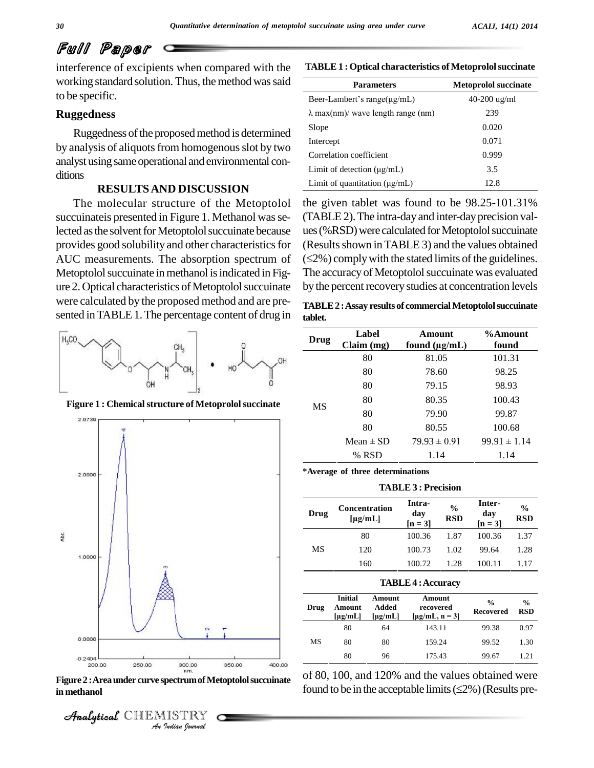# Full Paper

interference of excipients when compared with the working standard solution. Thus, the method was said to be specific.

#### **Ruggedness**

Ruggedness of the proposed method is determined by analysis of aliquots from homogenous slot by two analyst using sameoperational and environmental con ditions

#### **RESULTSAND DISCUSSION**

The molecular structure of the Metoptolol succuinateis presented in Figure 1. Methanol was selected as the solvent for Metoptolol succuinate because provides good solubility and other characteristics for AUC measurements. The absorption spectrum of  $(\leq 2\%)$  comply with the stated limits of the guidelines. Metoptolol succuinate in methanol is indicated in Figure 2. Optical characteristics of Metoptolol succuinate were calculated by the proposed method and are pre sented in TABLE 1. The percentage content of drug in



**Figure 1 : Chemicalstructure of Metoprololsuccinate**



**Figure2 :Areaunder curve spectrumofMetoptololsuccuinate in methanol**



**TABLE1 : Optical characteristics of Metoprololsuccinate**

| <b>Parameters</b>                         | <b>Metoprolol succinate</b> |
|-------------------------------------------|-----------------------------|
| Beer-Lambert's range( $\mu$ g/mL)         | $40-200$ ug/ml              |
| $\lambda$ max(nm)/ wave length range (nm) | 239                         |
| Slope                                     | 0.020                       |
| Intercept                                 | 0.071                       |
| Correlation coefficient                   | 0.999                       |
| Limit of detection $(\mu g/mL)$           | 3.5                         |
| Limit of quantitation $(\mu g/mL)$        | 12.8                        |

the given tablet was found to be 98.25-101.31% (TABLE2).The intra-day and inter-dayprecision val ues (%RSD) were calculated for Metoptolol succuinate<br>(Results shown in TABLE 3) and the values obtained<br>(≤2%) comply with the stated limits of the guidelines. (Results shown in TABLE 3) and the values obtained The accuracy of Metoptolol succuinate was evaluated by the percent recovery studies at concentration levels

**TABLE2 :Assay results of commercialMetoptololsuccuinate tablet.**

| tabiet.   |                     |                              |                  |
|-----------|---------------------|------------------------------|------------------|
| Drug      | Label<br>Claim (mg) | Amount<br>found $(\mu g/mL)$ | %Amount<br>found |
| <b>MS</b> | 80                  | 81.05                        | 101.31           |
|           | 80                  | 78.60                        | 98.25            |
|           | 80                  | 79.15                        | 98.93            |
|           | 80                  | 80.35                        | 100.43           |
|           | 80                  | 79.90                        | 99.87            |
|           | 80                  | 80.55                        | 100.68           |
|           | Mean $\pm$ SD       | $79.93 \pm 0.91$             | $99.91 \pm 1.14$ |
|           | % RSD               | 1.14                         | 1.14             |

**\*Average of three determinations**

**TABLE 3 : Precision**

| Drug | <b>Concentration</b><br>$\lceil \mu g / m L \rceil$ | Intra-<br>day<br>$[n = 3]$ | $\frac{0}{0}$<br><b>RSD</b> | Inter-<br>day<br>$[n = 3]$ | $\frac{0}{0}$<br><b>RSD</b> |
|------|-----------------------------------------------------|----------------------------|-----------------------------|----------------------------|-----------------------------|
|      | 80                                                  | 100.36                     | 1.87                        | 100.36                     | 1.37                        |
| МS   | 120                                                 | 100.73                     | 1.02                        | 99.64                      | 1.28                        |
|      | 160                                                 | 100.72                     | 1.28                        | 100.11                     | 1.17                        |

#### **TABLE4 :Accuracy**

| Drug | <b>Initial</b><br>Amount<br>$\lceil \mu g / m L \rceil$ | Amount<br>Added<br>$\lceil \mu g / m L \rceil$ | Amount<br>recovered<br>[ $\mu$ g/mL, n = 3] | $\frac{0}{0}$<br><b>Recovered</b> | $\frac{0}{0}$<br><b>RSD</b> |
|------|---------------------------------------------------------|------------------------------------------------|---------------------------------------------|-----------------------------------|-----------------------------|
|      | 80                                                      | 64                                             | 143.11                                      | 99.38                             | 0.97                        |
| МS   | 80                                                      | 80                                             | 159.24                                      | 99.52                             | 1.30                        |
|      | 80                                                      | 96                                             | 175.43                                      | 99.67                             | 1.21                        |

of 80, 100, and 120% and the values obtained were found to be in the acceptable limits  $(\leq 2\%)$  (Results pre-